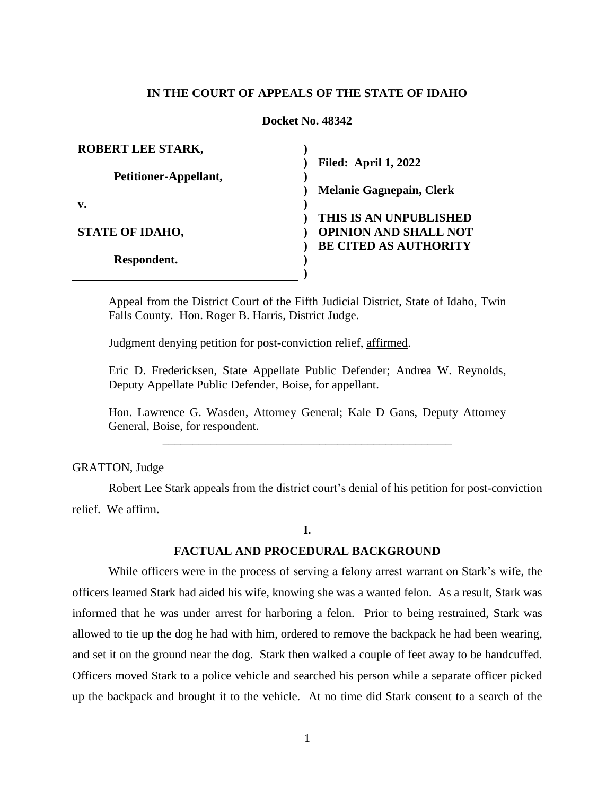### **IN THE COURT OF APPEALS OF THE STATE OF IDAHO**

#### **Docket No. 48342**

| <b>ROBERT LEE STARK,</b> |                                 |
|--------------------------|---------------------------------|
|                          | <b>Filed: April 1, 2022</b>     |
| Petitioner-Appellant,    |                                 |
|                          | <b>Melanie Gagnepain, Clerk</b> |
| $\mathbf{v}$ .           |                                 |
|                          | THIS IS AN UNPUBLISHED          |
| <b>STATE OF IDAHO,</b>   | <b>OPINION AND SHALL NOT</b>    |
|                          | <b>BE CITED AS AUTHORITY</b>    |
| Respondent.              |                                 |
|                          |                                 |

Appeal from the District Court of the Fifth Judicial District, State of Idaho, Twin Falls County. Hon. Roger B. Harris, District Judge.

Judgment denying petition for post-conviction relief, affirmed.

Eric D. Fredericksen, State Appellate Public Defender; Andrea W. Reynolds, Deputy Appellate Public Defender, Boise, for appellant.

Hon. Lawrence G. Wasden, Attorney General; Kale D Gans, Deputy Attorney General, Boise, for respondent. \_\_\_\_\_\_\_\_\_\_\_\_\_\_\_\_\_\_\_\_\_\_\_\_\_\_\_\_\_\_\_\_\_\_\_\_\_\_\_\_\_\_\_\_\_\_\_\_

GRATTON, Judge

Robert Lee Stark appeals from the district court's denial of his petition for post-conviction relief. We affirm.

### **I.**

#### **FACTUAL AND PROCEDURAL BACKGROUND**

While officers were in the process of serving a felony arrest warrant on Stark's wife, the officers learned Stark had aided his wife, knowing she was a wanted felon. As a result, Stark was informed that he was under arrest for harboring a felon. Prior to being restrained, Stark was allowed to tie up the dog he had with him, ordered to remove the backpack he had been wearing, and set it on the ground near the dog. Stark then walked a couple of feet away to be handcuffed. Officers moved Stark to a police vehicle and searched his person while a separate officer picked up the backpack and brought it to the vehicle. At no time did Stark consent to a search of the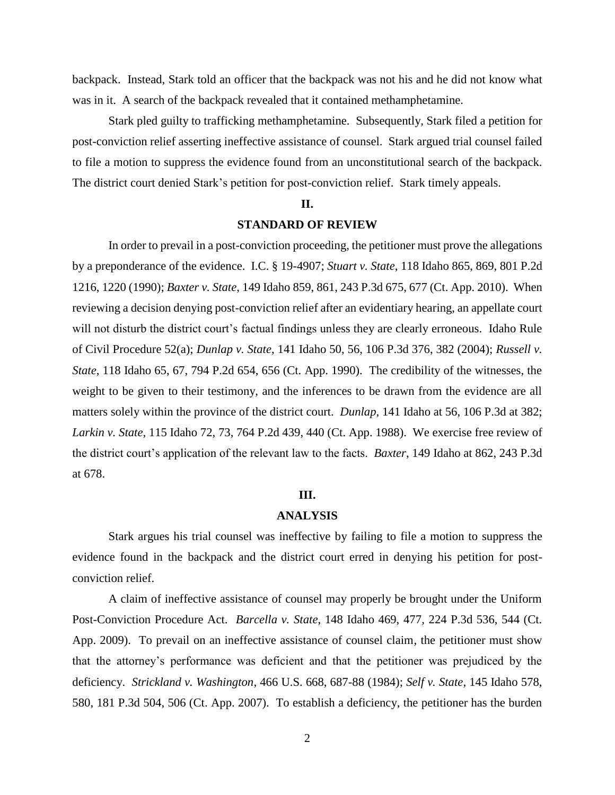backpack. Instead, Stark told an officer that the backpack was not his and he did not know what was in it. A search of the backpack revealed that it contained methamphetamine.

Stark pled guilty to trafficking methamphetamine. Subsequently, Stark filed a petition for post-conviction relief asserting ineffective assistance of counsel. Stark argued trial counsel failed to file a motion to suppress the evidence found from an unconstitutional search of the backpack. The district court denied Stark's petition for post-conviction relief. Stark timely appeals.

#### **II.**

## **STANDARD OF REVIEW**

In order to prevail in a post-conviction proceeding, the petitioner must prove the allegations by a preponderance of the evidence. I.C. § 19-4907; *Stuart v. State*, 118 Idaho 865, 869, 801 P.2d 1216, 1220 (1990); *Baxter v. State*, 149 Idaho 859, 861, 243 P.3d 675, 677 (Ct. App. 2010). When reviewing a decision denying post-conviction relief after an evidentiary hearing, an appellate court will not disturb the district court's factual findings unless they are clearly erroneous. Idaho Rule of Civil Procedure 52(a); *Dunlap v. State*, 141 Idaho 50, 56, 106 P.3d 376, 382 (2004); *Russell v. State*, 118 Idaho 65, 67, 794 P.2d 654, 656 (Ct. App. 1990). The credibility of the witnesses, the weight to be given to their testimony, and the inferences to be drawn from the evidence are all matters solely within the province of the district court. *Dunlap*, 141 Idaho at 56, 106 P.3d at 382; *Larkin v. State*, 115 Idaho 72, 73, 764 P.2d 439, 440 (Ct. App. 1988). We exercise free review of the district court's application of the relevant law to the facts. *Baxter*, 149 Idaho at 862, 243 P.3d at 678.

#### **III.**

# **ANALYSIS**

Stark argues his trial counsel was ineffective by failing to file a motion to suppress the evidence found in the backpack and the district court erred in denying his petition for postconviction relief.

A claim of ineffective assistance of counsel may properly be brought under the Uniform Post-Conviction Procedure Act. *Barcella v. State*, 148 Idaho 469, 477, 224 P.3d 536, 544 (Ct. App. 2009). To prevail on an ineffective assistance of counsel claim, the petitioner must show that the attorney's performance was deficient and that the petitioner was prejudiced by the deficiency. *Strickland v. Washington*, 466 U.S. 668, 687-88 (1984); *Self v. State*, 145 Idaho 578, 580, 181 P.3d 504, 506 (Ct. App. 2007). To establish a deficiency, the petitioner has the burden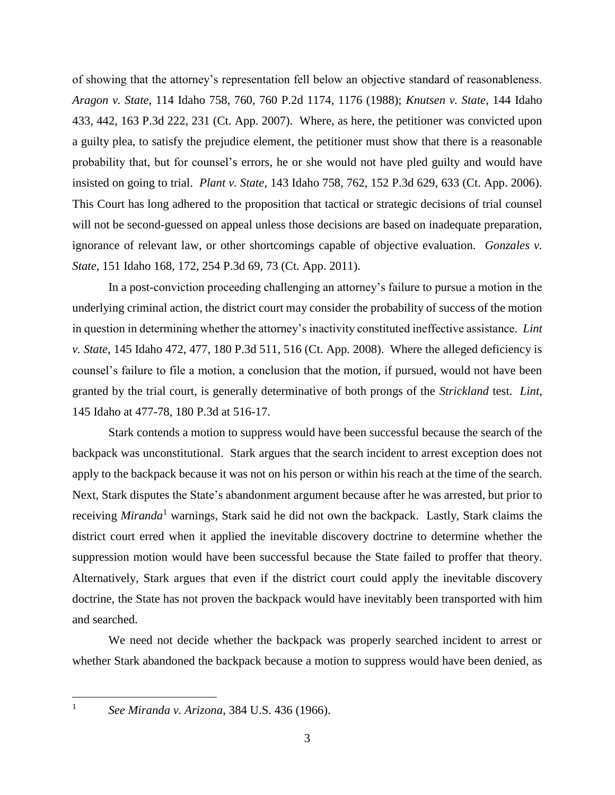of showing that the attorney's representation fell below an objective standard of reasonableness. *Aragon v. State*, 114 Idaho 758, 760, 760 P.2d 1174, 1176 (1988); *Knutsen v. State*, 144 Idaho 433, 442, 163 P.3d 222, 231 (Ct. App. 2007). Where, as here, the petitioner was convicted upon a guilty plea, to satisfy the prejudice element, the petitioner must show that there is a reasonable probability that, but for counsel's errors, he or she would not have pled guilty and would have insisted on going to trial. *Plant v. State*, 143 Idaho 758, 762, 152 P.3d 629, 633 (Ct. App. 2006). This Court has long adhered to the proposition that tactical or strategic decisions of trial counsel will not be second-guessed on appeal unless those decisions are based on inadequate preparation, ignorance of relevant law, or other shortcomings capable of objective evaluation. *Gonzales v. State*, 151 Idaho 168, 172, 254 P.3d 69, 73 (Ct. App. 2011).

In a post-conviction proceeding challenging an attorney's failure to pursue a motion in the underlying criminal action, the district court may consider the probability of success of the motion in question in determining whether the attorney's inactivity constituted ineffective assistance. *Lint v. State*, 145 Idaho 472, 477, 180 P.3d 511, 516 (Ct. App. 2008). Where the alleged deficiency is counsel's failure to file a motion, a conclusion that the motion, if pursued, would not have been granted by the trial court, is generally determinative of both prongs of the *Strickland* test. *Lint*, 145 Idaho at 477-78, 180 P.3d at 516-17.

Stark contends a motion to suppress would have been successful because the search of the backpack was unconstitutional. Stark argues that the search incident to arrest exception does not apply to the backpack because it was not on his person or within his reach at the time of the search. Next, Stark disputes the State's abandonment argument because after he was arrested, but prior to receiving *Miranda*<sup>1</sup> warnings, Stark said he did not own the backpack. Lastly, Stark claims the district court erred when it applied the inevitable discovery doctrine to determine whether the suppression motion would have been successful because the State failed to proffer that theory. Alternatively, Stark argues that even if the district court could apply the inevitable discovery doctrine, the State has not proven the backpack would have inevitably been transported with him and searched.

We need not decide whether the backpack was properly searched incident to arrest or whether Stark abandoned the backpack because a motion to suppress would have been denied, as

 $\overline{a}$ 1

*See Miranda v. Arizona*, 384 U.S. 436 (1966).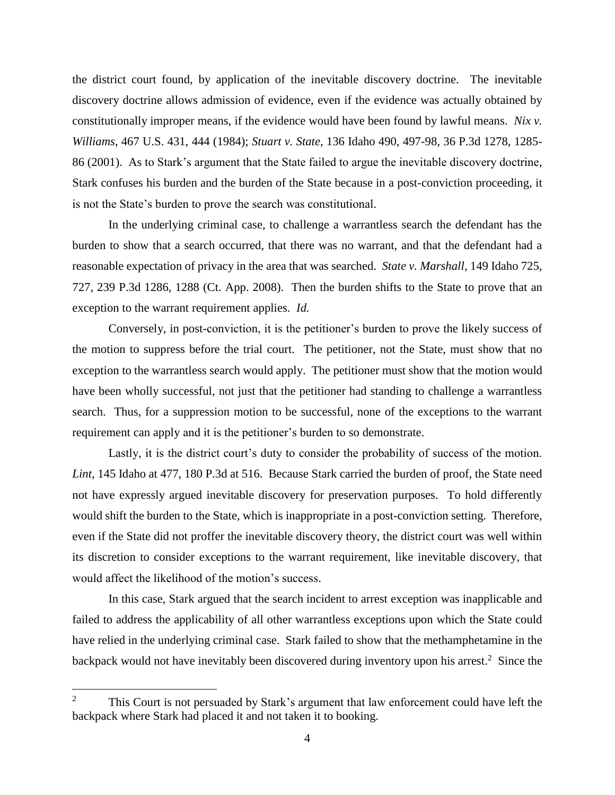the district court found, by application of the inevitable discovery doctrine. The inevitable discovery doctrine allows admission of evidence, even if the evidence was actually obtained by constitutionally improper means, if the evidence would have been found by lawful means. *Nix v. Williams*, 467 U.S. 431, 444 (1984); *Stuart v. State*, 136 Idaho 490, 497-98, 36 P.3d 1278, 1285- 86 (2001). As to Stark's argument that the State failed to argue the inevitable discovery doctrine, Stark confuses his burden and the burden of the State because in a post-conviction proceeding, it is not the State's burden to prove the search was constitutional.

In the underlying criminal case, to challenge a warrantless search the defendant has the burden to show that a search occurred, that there was no warrant, and that the defendant had a reasonable expectation of privacy in the area that was searched. *State v. Marshall*, 149 Idaho 725, 727, 239 P.3d 1286, 1288 (Ct. App. 2008). Then the burden shifts to the State to prove that an exception to the warrant requirement applies. *Id.*

Conversely, in post-conviction, it is the petitioner's burden to prove the likely success of the motion to suppress before the trial court. The petitioner, not the State, must show that no exception to the warrantless search would apply. The petitioner must show that the motion would have been wholly successful, not just that the petitioner had standing to challenge a warrantless search. Thus, for a suppression motion to be successful, none of the exceptions to the warrant requirement can apply and it is the petitioner's burden to so demonstrate.

Lastly, it is the district court's duty to consider the probability of success of the motion. *Lint*, 145 Idaho at 477, 180 P.3d at 516. Because Stark carried the burden of proof, the State need not have expressly argued inevitable discovery for preservation purposes. To hold differently would shift the burden to the State, which is inappropriate in a post-conviction setting. Therefore, even if the State did not proffer the inevitable discovery theory, the district court was well within its discretion to consider exceptions to the warrant requirement, like inevitable discovery, that would affect the likelihood of the motion's success.

In this case, Stark argued that the search incident to arrest exception was inapplicable and failed to address the applicability of all other warrantless exceptions upon which the State could have relied in the underlying criminal case. Stark failed to show that the methamphetamine in the backpack would not have inevitably been discovered during inventory upon his arrest.<sup>2</sup> Since the

 $\overline{a}$ 

<sup>2</sup> This Court is not persuaded by Stark's argument that law enforcement could have left the backpack where Stark had placed it and not taken it to booking.